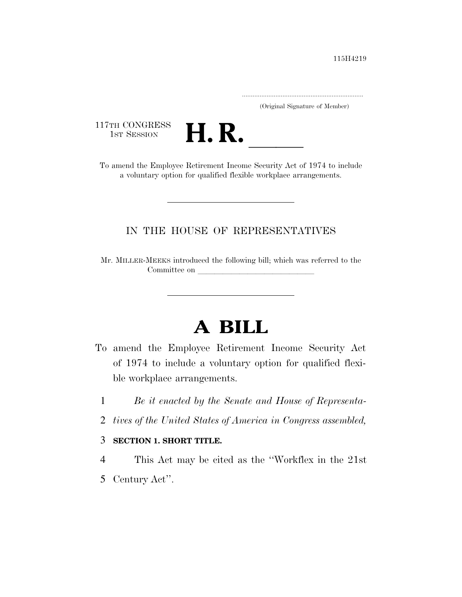.....................................................................

(Original Signature of Member)

117TH CONGRESS<br>1st Session



17TH CONGRESS<br>1st SESSION<br>To amend the Employee Retirement Income Security Act of 1974 to include a voluntary option for qualified flexible workplace arrangements.

## IN THE HOUSE OF REPRESENTATIVES

Mr. MILLER-MEEKS introduced the following bill; which was referred to the Committee on leads on later was a set of the contract of the contract of the contract of the contract of the contract of the contract of the contract of the contract of the contract of the contract of the contract of the c

# **A BILL**

- To amend the Employee Retirement Income Security Act of 1974 to include a voluntary option for qualified flexible workplace arrangements.
	- 1 *Be it enacted by the Senate and House of Representa-*
	- 2 *tives of the United States of America in Congress assembled,*

### 3 **SECTION 1. SHORT TITLE.**

4 This Act may be cited as the ''Workflex in the 21st 5 Century Act''.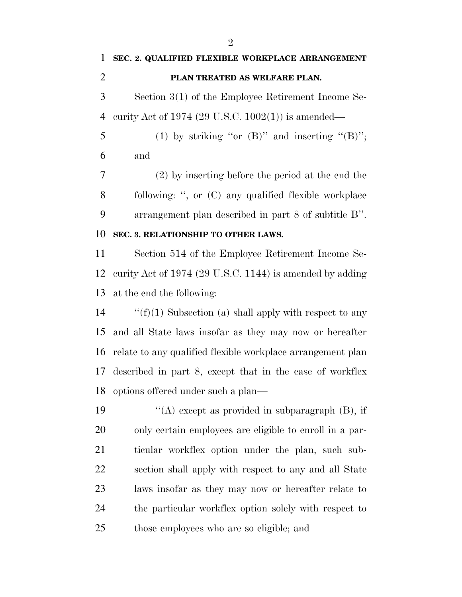**SEC. 2. QUALIFIED FLEXIBLE WORKPLACE ARRANGEMENT PLAN TREATED AS WELFARE PLAN.**  Section 3(1) of the Employee Retirement Income Se- curity Act of 1974 (29 U.S.C. 1002(1)) is amended— 5 (1) by striking "or  $(B)$ " and inserting " $(B)$ "; and (2) by inserting before the period at the end the following: '', or (C) any qualified flexible workplace arrangement plan described in part 8 of subtitle B''. **SEC. 3. RELATIONSHIP TO OTHER LAWS.**  Section 514 of the Employee Retirement Income Se- curity Act of 1974 (29 U.S.C. 1144) is amended by adding at the end the following:  $\langle f'(f)(1)$  Subsection (a) shall apply with respect to any and all State laws insofar as they may now or hereafter relate to any qualified flexible workplace arrangement plan described in part 8, except that in the case of workflex

 $\langle (A) \rangle$  except as provided in subparagraph (B), if only certain employees are eligible to enroll in a par- ticular workflex option under the plan, such sub- section shall apply with respect to any and all State laws insofar as they may now or hereafter relate to the particular workflex option solely with respect to those employees who are so eligible; and

options offered under such a plan—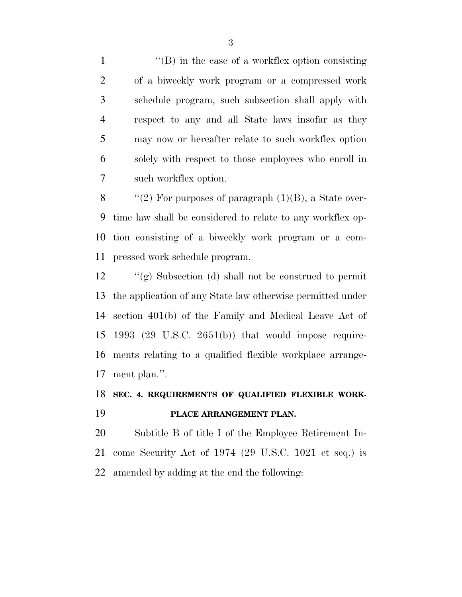1 ''(B) in the case of a workflex option consisting of a biweekly work program or a compressed work schedule program, such subsection shall apply with respect to any and all State laws insofar as they may now or hereafter relate to such workflex option solely with respect to those employees who enroll in such workflex option.

 $\qquad$  "(2) For purposes of paragraph (1)(B), a State over- time law shall be considered to relate to any workflex op- tion consisting of a biweekly work program or a com-pressed work schedule program.

 ''(g) Subsection (d) shall not be construed to permit the application of any State law otherwise permitted under section 401(b) of the Family and Medical Leave Act of 1993 (29 U.S.C. 2651(b)) that would impose require- ments relating to a qualified flexible workplace arrange-ment plan.''.

# **SEC. 4. REQUIREMENTS OF QUALIFIED FLEXIBLE WORK-PLACE ARRANGEMENT PLAN.**

 Subtitle B of title I of the Employee Retirement In- come Security Act of 1974 (29 U.S.C. 1021 et seq.) is amended by adding at the end the following: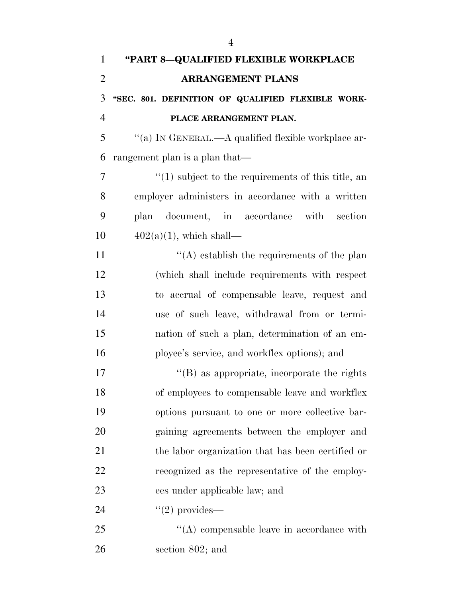| $\mathbf{1}$   | "PART 8-QUALIFIED FLEXIBLE WORKPLACE                   |
|----------------|--------------------------------------------------------|
| $\overline{2}$ | <b>ARRANGEMENT PLANS</b>                               |
| 3              | "SEC. 801. DEFINITION OF QUALIFIED FLEXIBLE WORK-      |
| $\overline{4}$ | PLACE ARRANGEMENT PLAN.                                |
| 5              | "(a) IN GENERAL.—A qualified flexible workplace ar-    |
| 6              | rangement plan is a plan that—                         |
| 7              | $\lq(1)$ subject to the requirements of this title, an |
| 8              | employer administers in accordance with a written      |
| 9              | document, in accordance with section<br>plan           |
| 10             | $402(a)(1)$ , which shall—                             |
| 11             | $\lq\lq$ establish the requirements of the plan        |
| 12             | (which shall include requirements with respect         |
| 13             | to accrual of compensable leave, request and           |
| 14             | use of such leave, withdrawal from or termi-           |
| 15             | nation of such a plan, determination of an em-         |
| 16             | ployee's service, and workflex options); and           |
| 17             | "(B) as appropriate, incorporate the rights            |
| 18             | of employees to compensable leave and workflex         |
| 19             | options pursuant to one or more collective bar-        |
| 20             | gaining agreements between the employer and            |
| 21             | the labor organization that has been certified or      |
| 22             | recognized as the representative of the employ-        |
| 23             | ees under applicable law; and                          |
| 24             | $"(2)$ provides—                                       |
| 25             | $\lq\lq$ compensable leave in accordance with          |
| 26             | section 802; and                                       |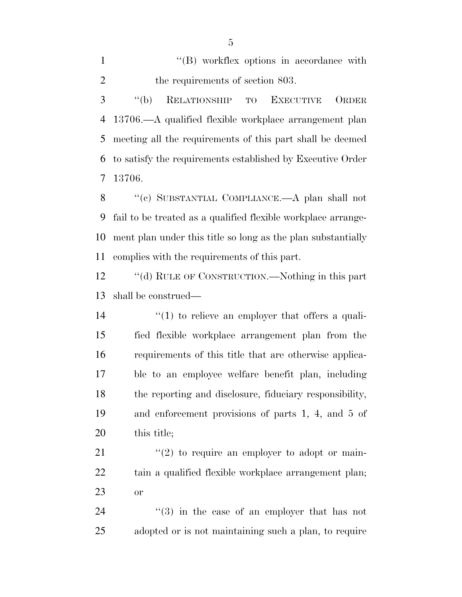1  $\langle$  (B) workflex options in accordance with 2 the requirements of section 803.

 ''(b) RELATIONSHIP TO EXECUTIVE ORDER 13706.—A qualified flexible workplace arrangement plan meeting all the requirements of this part shall be deemed to satisfy the requirements established by Executive Order 13706.

 ''(c) SUBSTANTIAL COMPLIANCE.—A plan shall not fail to be treated as a qualified flexible workplace arrange- ment plan under this title so long as the plan substantially complies with the requirements of this part.

12 "(d) RULE OF CONSTRUCTION.—Nothing in this part shall be construed—

 $\frac{1}{2}$  (1) to relieve an employer that offers a quali- fied flexible workplace arrangement plan from the requirements of this title that are otherwise applica- ble to an employee welfare benefit plan, including the reporting and disclosure, fiduciary responsibility, and enforcement provisions of parts 1, 4, and 5 of this title;

 ''(2) to require an employer to adopt or main- tain a qualified flexible workplace arrangement plan; or

24 ''(3) in the case of an employer that has not adopted or is not maintaining such a plan, to require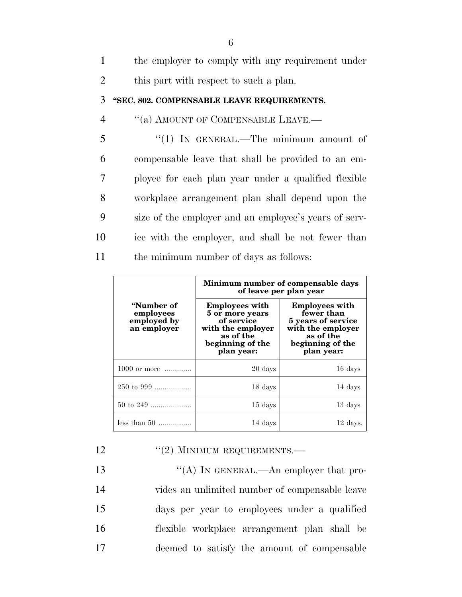|                | the employer to comply with any requirement under    |
|----------------|------------------------------------------------------|
| 2              | this part with respect to such a plan.               |
| 3              | "SEC. 802. COMPENSABLE LEAVE REQUIREMENTS.           |
| $\overline{4}$ | "(a) AMOUNT OF COMPENSABLE LEAVE.—                   |
| 5              | $\lq(1)$ In GENERAL.—The minimum amount of           |
| 6              | compensable leave that shall be provided to an em-   |
|                | ployee for each plan year under a qualified flexible |

 workplace arrangement plan shall depend upon the size of the employer and an employee's years of serv- ice with the employer, and shall be not fewer than the minimum number of days as follows:

| "Number of<br>employees<br>employed by<br>an employer | Minimum number of compensable days<br>of leave per plan year                                                               |                                                                                                                               |  |
|-------------------------------------------------------|----------------------------------------------------------------------------------------------------------------------------|-------------------------------------------------------------------------------------------------------------------------------|--|
|                                                       | <b>Employees with</b><br>5 or more years<br>of service<br>with the employer<br>as of the<br>beginning of the<br>plan year: | <b>Employees with</b><br>fewer than<br>5 years of service<br>with the employer<br>as of the<br>beginning of the<br>plan year: |  |
| 1000 or more                                          | 20 days                                                                                                                    | 16 days                                                                                                                       |  |
| $250 \text{ to } 999$                                 | 18 days                                                                                                                    | 14 days                                                                                                                       |  |
| 50 to 249                                             | 15 days                                                                                                                    | 13 days                                                                                                                       |  |
| less than $50$                                        | 14 days                                                                                                                    | $12$ days.                                                                                                                    |  |

12 ''(2) MINIMUM REQUIREMENTS.

13 "(A) IN GENERAL.—An employer that pro- vides an unlimited number of compensable leave days per year to employees under a qualified flexible workplace arrangement plan shall be deemed to satisfy the amount of compensable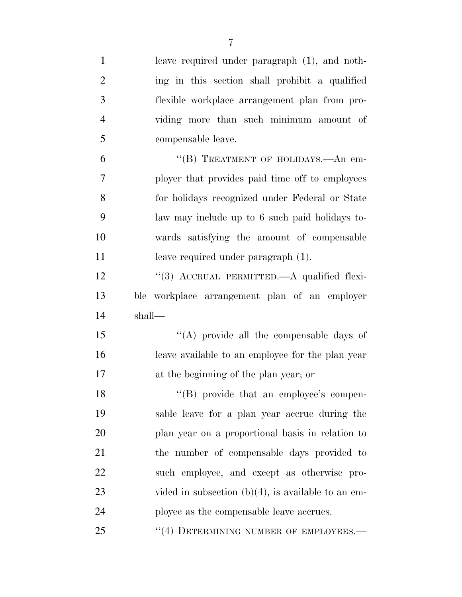| $\mathbf{1}$   | leave required under paragraph (1), and noth-         |
|----------------|-------------------------------------------------------|
| $\overline{2}$ | ing in this section shall prohibit a qualified        |
| 3              | flexible workplace arrangement plan from pro-         |
| $\overline{4}$ | viding more than such minimum amount of               |
| 5              | compensable leave.                                    |
| 6              | "(B) TREATMENT OF HOLIDAYS.—An em-                    |
| 7              | ployer that provides paid time off to employees       |
| 8              | for holidays recognized under Federal or State        |
| 9              | law may include up to 6 such paid holidays to-        |
| 10             | wards satisfying the amount of compensable            |
| 11             | leave required under paragraph (1).                   |
| 12             | "(3) ACCRUAL PERMITTED.—A qualified flexi-            |
|                |                                                       |
| 13             | ble workplace arrangement plan of an employer         |
| 14             | shall-                                                |
| 15             | "(A) provide all the compensable days of              |
| 16             | leave available to an employee for the plan year      |
| 17             | at the beginning of the plan year; or                 |
| 18             | "(B) provide that an employee's compen-               |
| 19             | sable leave for a plan year accrue during the         |
| 20             | plan year on a proportional basis in relation to      |
| 21             | the number of compensable days provided to            |
| 22             | such employee, and except as otherwise pro-           |
| 23             | vided in subsection $(b)(4)$ , is available to an em- |
| 24             | ployee as the compensable leave accrues.              |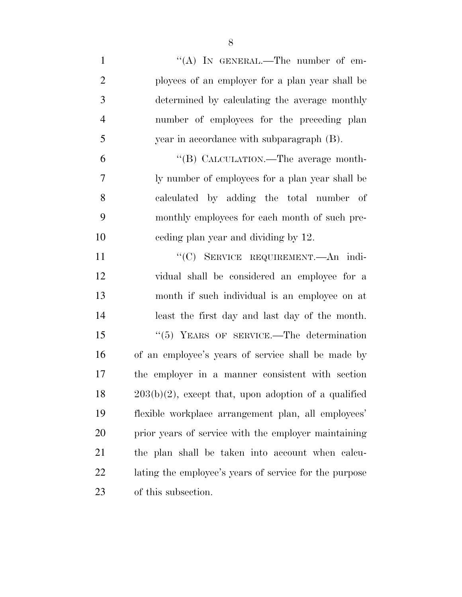| $\mathbf{1}$   | "(A) IN GENERAL.—The number of em-                      |
|----------------|---------------------------------------------------------|
| $\overline{2}$ | ployees of an employer for a plan year shall be         |
| 3              | determined by calculating the average monthly           |
| $\overline{4}$ | number of employees for the preceding plan              |
| 5              | year in accordance with subparagraph (B).               |
| 6              | "(B) CALCULATION.—The average month-                    |
| 7              | ly number of employees for a plan year shall be         |
| 8              | calculated by adding the total number of                |
| 9              | monthly employees for each month of such pre-           |
| 10             | eeding plan year and dividing by 12.                    |
| 11             | "(C) SERVICE REQUIREMENT.—An indi-                      |
| 12             | vidual shall be considered an employee for a            |
| 13             | month if such individual is an employee on at           |
| 14             | least the first day and last day of the month.          |
| 15             | $\cdot\cdot$ (5) YEARS OF SERVICE.—The determination    |
| 16             | of an employee's years of service shall be made by      |
| 17             | the employer in a manner consistent with section        |
| 18             | $203(b)(2)$ , except that, upon adoption of a qualified |
| 19             | flexible workplace arrangement plan, all employees'     |
| 20             | prior years of service with the employer maintaining    |
| 21             | the plan shall be taken into account when calcu-        |
| 22             | lating the employee's years of service for the purpose  |
| 23             | of this subsection.                                     |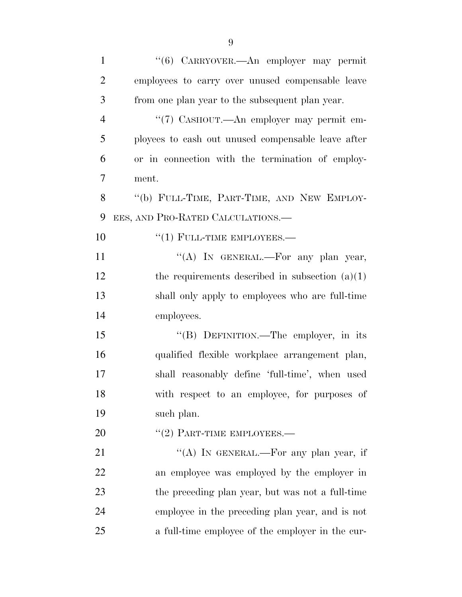| $\mathbf{1}$   | "(6) CARRYOVER.—An employer may permit             |
|----------------|----------------------------------------------------|
| $\overline{2}$ | employees to carry over unused compensable leave   |
| 3              | from one plan year to the subsequent plan year.    |
| $\overline{4}$ | "(7) CASHOUT.—An employer may permit em-           |
| 5              | ployees to cash out unused compensable leave after |
| 6              | or in connection with the termination of employ-   |
| 7              | ment.                                              |
| 8              | "(b) FULL-TIME, PART-TIME, AND NEW EMPLOY-         |
| 9              | EES, AND PRO-RATED CALCULATIONS.                   |
| 10             | $``(1)$ FULL-TIME EMPLOYEES.—                      |
| 11             | "(A) IN GENERAL.—For any plan year,                |
| 12             | the requirements described in subsection $(a)(1)$  |
| 13             | shall only apply to employees who are full-time    |
| 14             | employees.                                         |
| 15             | "(B) DEFINITION.—The employer, in its              |
| 16             | qualified flexible workplace arrangement plan,     |
| 17             | shall reasonably define 'full-time', when used     |
| 18             | with respect to an employee, for purposes of       |
| 19             | such plan.                                         |
| 20             | $``(2)$ PART-TIME EMPLOYEES.—                      |
| 21             | "(A) IN GENERAL.—For any plan year, if             |
| 22             | an employee was employed by the employer in        |
| 23             | the preceding plan year, but was not a full-time   |
| 24             | employee in the preceding plan year, and is not    |
| 25             | a full-time employee of the employer in the cur-   |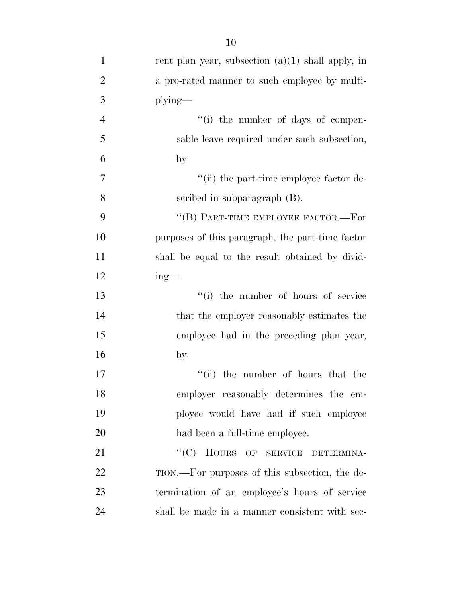| $\mathbf{1}$   | rent plan year, subsection $(a)(1)$ shall apply, in |
|----------------|-----------------------------------------------------|
| $\overline{2}$ | a pro-rated manner to such employee by multi-       |
| 3              | $plying$ —                                          |
| $\overline{4}$ | "(i) the number of days of compen-                  |
| 5              | sable leave required under such subsection,         |
| 6              | $\mathbf{b}$                                        |
| $\tau$         | "(ii) the part-time employee factor de-             |
| 8              | scribed in subparagraph (B).                        |
| 9              | "(B) PART-TIME EMPLOYEE FACTOR.—For                 |
| 10             | purposes of this paragraph, the part-time factor    |
| 11             | shall be equal to the result obtained by divid-     |
| 12             | $ing$ —                                             |
| 13             | "(i) the number of hours of service                 |
| 14             | that the employer reasonably estimates the          |
| 15             | employee had in the preceding plan year,            |
| 16             | by                                                  |
| 17             | "(ii) the number of hours that the                  |
| 18             | employer reasonably determines the em-              |
| 19             | ployee would have had if such employee              |
| 20             | had been a full-time employee.                      |
| 21             | "(C) HOURS OF SERVICE DETERMINA-                    |
| 22             | TION.—For purposes of this subsection, the de-      |
| 23             | termination of an employee's hours of service       |
| 24             | shall be made in a manner consistent with sec-      |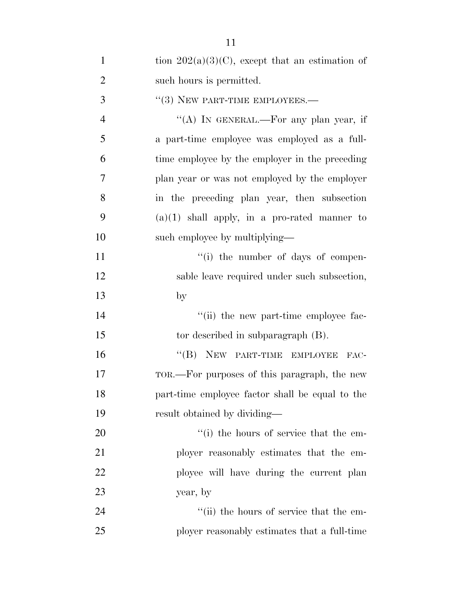| $\mathbf{1}$   | tion $202(a)(3)(C)$ , except that an estimation of |
|----------------|----------------------------------------------------|
| $\overline{2}$ | such hours is permitted.                           |
| 3              | $"$ (3) NEW PART-TIME EMPLOYEES.—                  |
| $\overline{4}$ | "(A) IN GENERAL.—For any plan year, if             |
| 5              | a part-time employee was employed as a full-       |
| 6              | time employee by the employer in the preceding     |
| $\overline{7}$ | plan year or was not employed by the employer      |
| 8              | in the preceding plan year, then subsection        |
| 9              | $(a)(1)$ shall apply, in a pro-rated manner to     |
| 10             | such employee by multiplying—                      |
| 11             | $``(i)$ the number of days of compen-              |
| 12             | sable leave required under such subsection,        |
| 13             | $\mathbf{b}$                                       |
| 14             | "(ii) the new part-time employee fac-              |
| 15             | tor described in subparagraph $(B)$ .              |
| 16             | "(B) NEW PART-TIME EMPLOYEE<br>FAC-                |
| 17             | TOR.—For purposes of this paragraph, the new       |
| 18             | part-time employee factor shall be equal to the    |
| 19             | result obtained by dividing—                       |
| 20             | "(i) the hours of service that the em-             |
| 21             | ployer reasonably estimates that the em-           |
| 22             | ployee will have during the current plan           |
| 23             | year, by                                           |
| 24             | "(ii) the hours of service that the em-            |
| 25             | ployer reasonably estimates that a full-time       |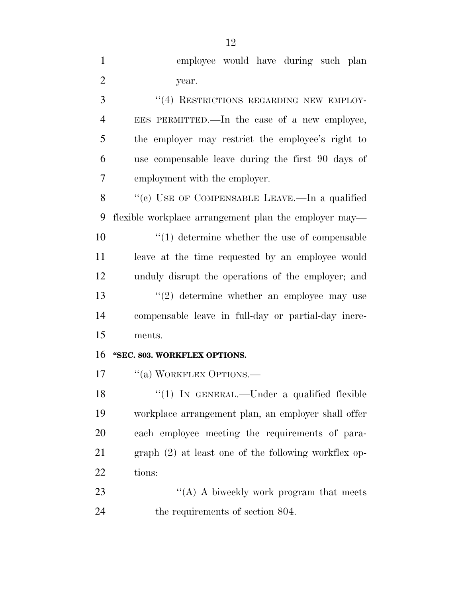| $\mathbf{1}$   | employee would have during such plan                  |
|----------------|-------------------------------------------------------|
| $\overline{2}$ | year.                                                 |
| 3              | "(4) RESTRICTIONS REGARDING NEW EMPLOY-               |
| $\overline{4}$ | EES PERMITTED.—In the case of a new employee,         |
| 5              | the employer may restrict the employee's right to     |
| 6              | use compensable leave during the first 90 days of     |
| 7              | employment with the employer.                         |
| 8              | "(c) USE OF COMPENSABLE LEAVE.—In a qualified         |
| 9              | flexible workplace arrangement plan the employer may— |
| 10             | $\lq(1)$ determine whether the use of compensable     |
| 11             | leave at the time requested by an employee would      |
| 12             | unduly disrupt the operations of the employer; and    |
| 13             | $(2)$ determine whether an employee may use           |
| 14             | compensable leave in full-day or partial-day incre-   |
| 15             | ments.                                                |
| 16             | "SEC. 803. WORKFLEX OPTIONS.                          |
| 17             | "(a) WORKFLEX OPTIONS.—                               |
| 18             | " $(1)$ IN GENERAL.—Under a qualified flexible        |
| 19             | workplace arrangement plan, an employer shall offer   |
| 20             | each employee meeting the requirements of para-       |
| 21             | graph (2) at least one of the following workflex op-  |
| 22             | tions:                                                |
| 23             | "(A) A biweekly work program that meets               |

the requirements of section 804.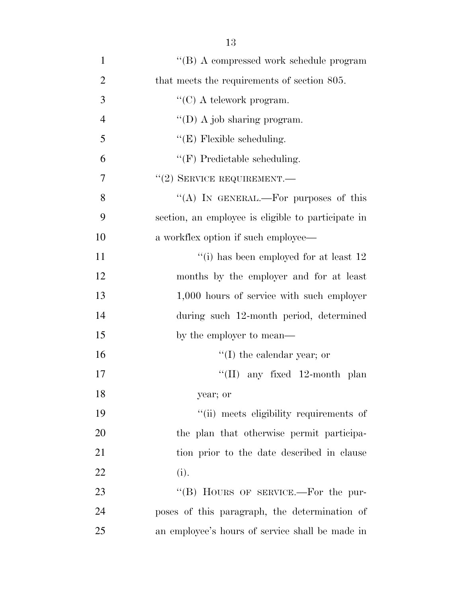| $\mathbf{1}$   | "(B) A compressed work schedule program            |
|----------------|----------------------------------------------------|
| $\overline{2}$ | that meets the requirements of section 805.        |
| 3              | " $(C)$ A telework program.                        |
| $\overline{4}$ | "(D) A job sharing program.                        |
| 5              | $\lq\lq$ (E) Flexible scheduling.                  |
| 6              | $\lq\lq(F)$ Predictable scheduling.                |
| 7              | $"(2)$ SERVICE REQUIREMENT.—                       |
| 8              | "(A) IN GENERAL.—For purposes of this              |
| 9              | section, an employee is eligible to participate in |
| 10             | a workflex option if such employee—                |
| 11             | "(i) has been employed for at least $12$           |
| 12             | months by the employer and for at least            |
| 13             | 1,000 hours of service with such employer          |
| 14             | during such 12-month period, determined            |
| 15             | by the employer to mean—                           |
| 16             | $f'(I)$ the calendar year; or                      |
| 17             | "(II) any fixed $12$ -month plan                   |
| 18             | year; or                                           |
| 19             | "(ii) meets eligibility requirements of            |
| 20             | the plan that otherwise permit participa-          |
| 21             | tion prior to the date described in clause         |
| 22             | (i).                                               |
| 23             | "(B) HOURS OF SERVICE.—For the pur-                |
| 24             | poses of this paragraph, the determination of      |
| 25             | an employee's hours of service shall be made in    |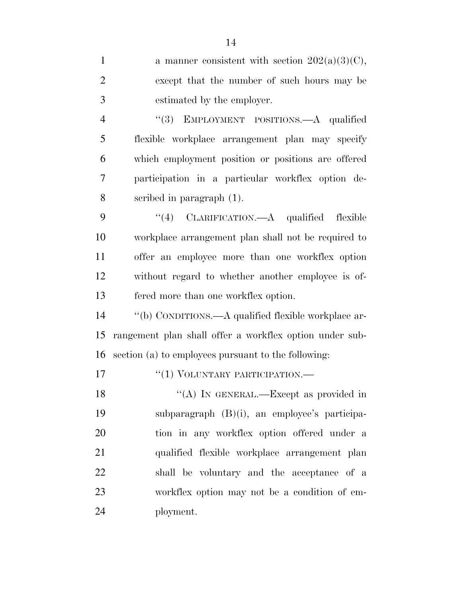| a manner consistent with section $202(a)(3)(C)$ ,       |
|---------------------------------------------------------|
| except that the number of such hours may be             |
| estimated by the employer.                              |
| "(3) EMPLOYMENT POSITIONS.—A qualified                  |
| flexible workplace arrangement plan may specify         |
| which employment position or positions are offered      |
| participation in a particular workflex option de-       |
| scribed in paragraph $(1)$ .                            |
| "(4) CLARIFICATION.—A qualified flexible                |
| workplace arrangement plan shall not be required to     |
| offer an employee more than one workflex option         |
| without regard to whether another employee is of-       |
| fered more than one workflex option.                    |
| "(b) CONDITIONS.—A qualified flexible workplace ar-     |
| rangement plan shall offer a workflex option under sub- |
| section (a) to employees pursuant to the following:     |
| "(1) VOLUNTARY PARTICIPATION.—                          |
| "(A) IN GENERAL.—Except as provided in                  |
| subparagraph $(B)(i)$ , an employee's participa-        |
| tion in any workflex option offered under a             |
| qualified flexible workplace arrangement plan           |
|                                                         |
| shall be voluntary and the acceptance of a              |
| workflex option may not be a condition of em-           |
|                                                         |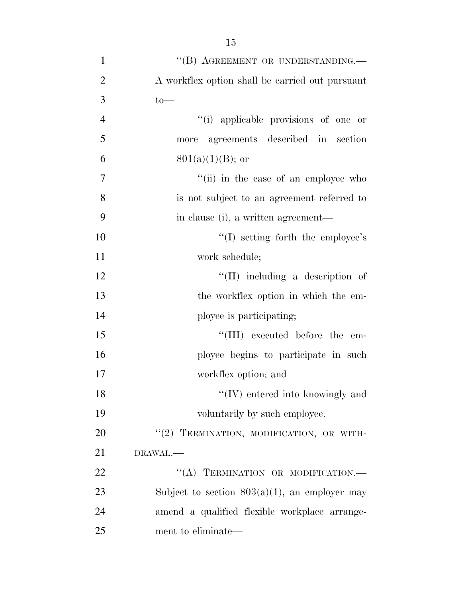| $\mathbf{1}$   | "(B) AGREEMENT OR UNDERSTANDING.-                |
|----------------|--------------------------------------------------|
| $\overline{2}$ | A workflex option shall be carried out pursuant  |
| 3              | $to-$                                            |
| $\overline{4}$ | "(i) applicable provisions of one or             |
| 5              | agreements described in section<br>more          |
| 6              | $801(a)(1)(B)$ ; or                              |
| $\overline{7}$ | "(ii) in the case of an employee who             |
| 8              | is not subject to an agreement referred to       |
| 9              | in clause (i), a written agreement—              |
| 10             | $\lq\lq$ setting forth the employee's            |
| 11             | work schedule;                                   |
| 12             | $\lq\lq$ (II) including a description of         |
| 13             | the workflex option in which the em-             |
| 14             | ployee is participating;                         |
| 15             | "(III) executed before the em-                   |
| 16             | ployee begins to participate in such             |
| 17             | workflex option; and                             |
| 18             | $\lq\lq$ (IV) entered into knowingly and         |
| 19             | voluntarily by such employee.                    |
| 20             | "(2) TERMINATION, MODIFICATION, OR WITH-         |
| 21             | DRAWAL.-                                         |
| 22             | "(A) TERMINATION OR MODIFICATION.-               |
| 23             | Subject to section $803(a)(1)$ , an employer may |
| 24             | amend a qualified flexible workplace arrange-    |
| 25             | ment to eliminate—                               |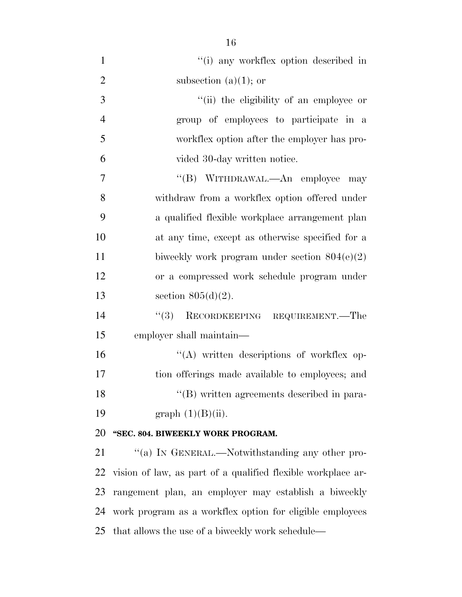| "(i) any workflex option described in                        |
|--------------------------------------------------------------|
| subsection $(a)(1)$ ; or                                     |
| "(ii) the eligibility of an employee or                      |
| group of employees to participate in a                       |
| workflex option after the employer has pro-                  |
| vided 30-day written notice.                                 |
| "(B) WITHDRAWAL.—An employee<br>may                          |
| withdraw from a workflex option offered under                |
| a qualified flexible workplace arrangement plan              |
| at any time, except as otherwise specified for a             |
| biweekly work program under section $804(e)(2)$              |
| or a compressed work schedule program under                  |
| section $805(d)(2)$ .                                        |
| (3)<br>RECORDKEEPING REQUIREMENT.—The                        |
| employer shall maintain—                                     |
| $\lq\lq$ written descriptions of workflex op-                |
| tion offerings made available to employees; and              |
| "(B) written agreements described in para-                   |
| graph $(1)(B)(ii)$ .                                         |
| "SEC. 804. BIWEEKLY WORK PROGRAM.                            |
| "(a) IN GENERAL.—Notwithstanding any other pro-              |
| vision of law, as part of a qualified flexible workplace ar- |
| rangement plan, an employer may establish a biweekly         |
| work program as a workflex option for eligible employees     |
|                                                              |

that allows the use of a biweekly work schedule—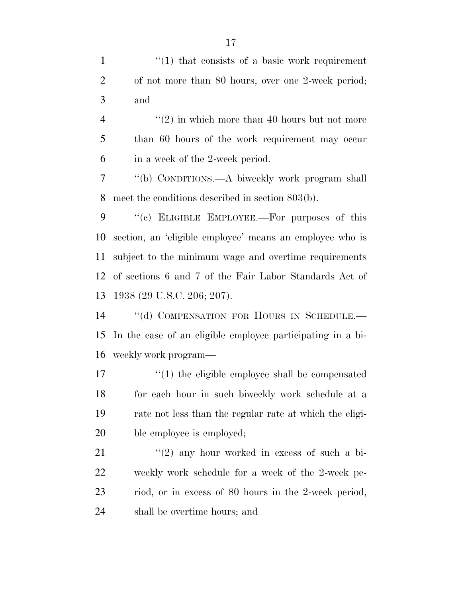1 ''(1) that consists of a basic work requirement of not more than 80 hours, over one 2-week period; and

 $\frac{4}{2}$  ''(2) in which more than 40 hours but not more than 60 hours of the work requirement may occur in a week of the 2-week period.

 ''(b) CONDITIONS.—A biweekly work program shall meet the conditions described in section 803(b).

9 "(c) ELIGIBLE EMPLOYEE.—For purposes of this section, an 'eligible employee' means an employee who is subject to the minimum wage and overtime requirements of sections 6 and 7 of the Fair Labor Standards Act of 1938 (29 U.S.C. 206; 207).

14 "(d) COMPENSATION FOR HOURS IN SCHEDULE. In the case of an eligible employee participating in a bi-weekly work program—

17 ''(1) the eligible employee shall be compensated for each hour in such biweekly work schedule at a rate not less than the regular rate at which the eligi-20 ble employee is employed;

 ''(2) any hour worked in excess of such a bi- weekly work schedule for a week of the 2-week pe- riod, or in excess of 80 hours in the 2-week period, shall be overtime hours; and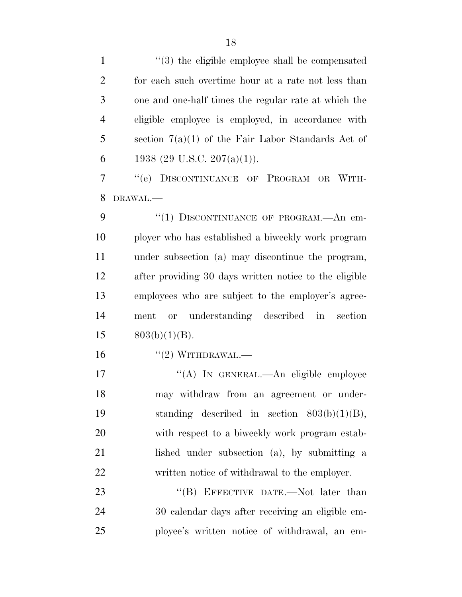1 ''(3) the eligible employee shall be compensated for each such overtime hour at a rate not less than one and one-half times the regular rate at which the eligible employee is employed, in accordance with 5 section  $7(a)(1)$  of the Fair Labor Standards Act of 6 1938 (29 U.S.C. 207(a)(1)).

 ''(e) DISCONTINUANCE OF PROGRAM OR WITH-DRAWAL.—

9 "(1) DISCONTINUANCE OF PROGRAM.—An em- ployer who has established a biweekly work program under subsection (a) may discontinue the program, after providing 30 days written notice to the eligible employees who are subject to the employer's agree- ment or understanding described in section  $803(b)(1)(B)$ .

 $(2)$  WITHDRAWAL.—

17 ""(A) In GENERAL.—An eligible employee may withdraw from an agreement or under- standing described in section 803(b)(1)(B), with respect to a biweekly work program estab- lished under subsection (a), by submitting a written notice of withdrawal to the employer.

23 "'(B) EFFECTIVE DATE.—Not later than 30 calendar days after receiving an eligible em-ployee's written notice of withdrawal, an em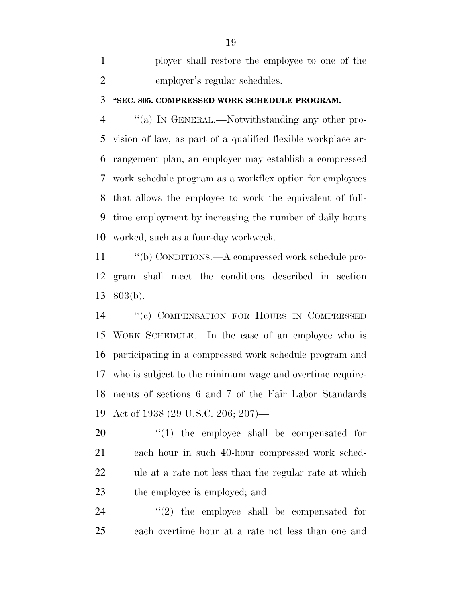ployer shall restore the employee to one of the employer's regular schedules.

#### **''SEC. 805. COMPRESSED WORK SCHEDULE PROGRAM.**

 ''(a) IN GENERAL.—Notwithstanding any other pro- vision of law, as part of a qualified flexible workplace ar- rangement plan, an employer may establish a compressed work schedule program as a workflex option for employees that allows the employee to work the equivalent of full- time employment by increasing the number of daily hours worked, such as a four-day workweek.

 ''(b) CONDITIONS.—A compressed work schedule pro- gram shall meet the conditions described in section 803(b).

 ''(c) COMPENSATION FOR HOURS IN COMPRESSED WORK SCHEDULE.—In the case of an employee who is participating in a compressed work schedule program and who is subject to the minimum wage and overtime require- ments of sections 6 and 7 of the Fair Labor Standards Act of 1938 (29 U.S.C. 206; 207)—

 $\frac{1}{20}$  the employee shall be compensated for each hour in such 40-hour compressed work sched- ule at a rate not less than the regular rate at which the employee is employed; and

  $(2)$  the employee shall be compensated for each overtime hour at a rate not less than one and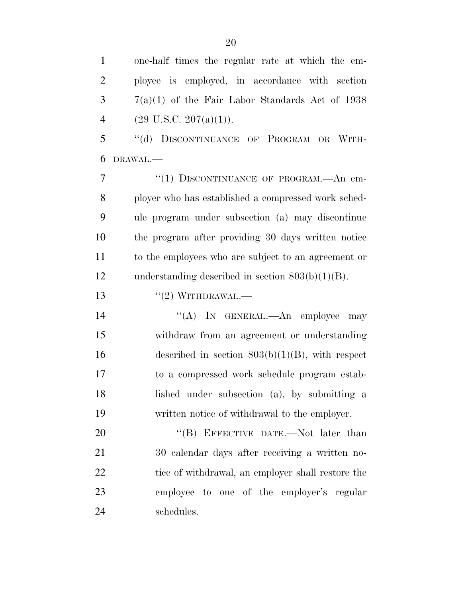one-half times the regular rate at which the em-

 ployee is employed, in accordance with section  $3 \qquad \qquad 7(a)(1)$  of the Fair Labor Standards Act of 1938 4 (29 U.S.C. 207(a)(1)). 5 "(d) DISCONTINUANCE OF PROGRAM OR WITH- DRAWAL.— 7 "(1) DISCONTINUANCE OF PROGRAM.—An em- ployer who has established a compressed work sched- ule program under subsection (a) may discontinue the program after providing 30 days written notice to the employees who are subject to an agreement or understanding described in section 803(b)(1)(B).  $((2) \text{WITHDRAWAL.}$ 14 "(A) IN GENERAL.—An employee may withdraw from an agreement or understanding 16 described in section  $803(b)(1)(B)$ , with respect to a compressed work schedule program estab- lished under subsection (a), by submitting a written notice of withdrawal to the employer. 20 "(B) EFFECTIVE DATE.—Not later than 30 calendar days after receiving a written no-22 tice of withdrawal, an employer shall restore the employee to one of the employer's regular

schedules.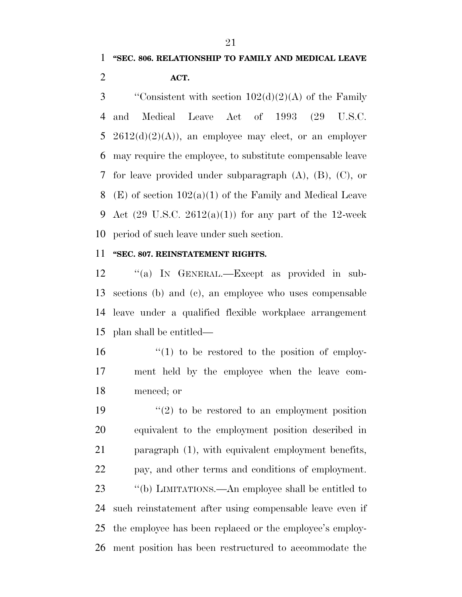3 "Consistent with section  $102(d)(2)(A)$  of the Family and Medical Leave Act of 1993 (29 U.S.C. 5 2612(d)(2)(A)), an employee may elect, or an employer may require the employee, to substitute compensable leave for leave provided under subparagraph (A), (B), (C), or (E) of section 102(a)(1) of the Family and Medical Leave 9 Act  $(29 \text{ U.S.C. } 2612(a)(1))$  for any part of the 12-week period of such leave under such section.

### **''SEC. 807. REINSTATEMENT RIGHTS.**

 ''(a) IN GENERAL.—Except as provided in sub- sections (b) and (c), an employee who uses compensable leave under a qualified flexible workplace arrangement plan shall be entitled—

 ''(1) to be restored to the position of employ- ment held by the employee when the leave com-menced; or

 $(2)$  to be restored to an employment position equivalent to the employment position described in paragraph (1), with equivalent employment benefits, pay, and other terms and conditions of employment. ''(b) LIMITATIONS.—An employee shall be entitled to such reinstatement after using compensable leave even if the employee has been replaced or the employee's employ-ment position has been restructured to accommodate the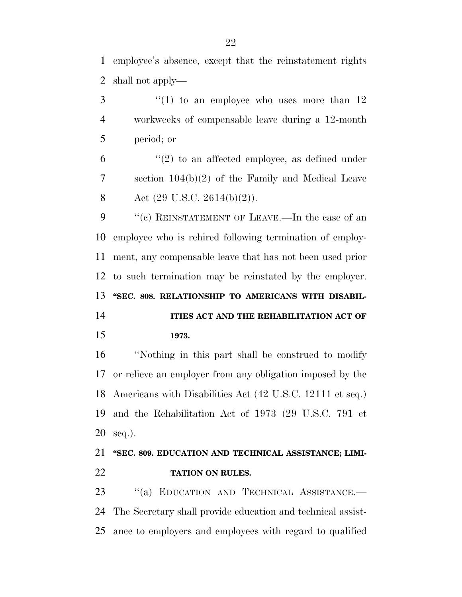employee's absence, except that the reinstatement rights shall not apply—

 $\frac{3}{1}$  ''(1) to an employee who uses more than 12 workweeks of compensable leave during a 12-month period; or

 $(2)$  to an affected employee, as defined under section 104(b)(2) of the Family and Medical Leave 8 Act  $(29 \text{ U.S.C. } 2614(b)(2))$ .

9 "(c) REINSTATEMENT OF LEAVE.—In the case of an employee who is rehired following termination of employ- ment, any compensable leave that has not been used prior to such termination may be reinstated by the employer. **''SEC. 808. RELATIONSHIP TO AMERICANS WITH DISABIL-**

# **ITIES ACT AND THE REHABILITATION ACT OF 1973.**

 ''Nothing in this part shall be construed to modify or relieve an employer from any obligation imposed by the Americans with Disabilities Act (42 U.S.C. 12111 et seq.) and the Rehabilitation Act of 1973 (29 U.S.C. 791 et seq.).

# **''SEC. 809. EDUCATION AND TECHNICAL ASSISTANCE; LIMI-TATION ON RULES.**

23 "(a) EDUCATION AND TECHNICAL ASSISTANCE.— The Secretary shall provide education and technical assist-ance to employers and employees with regard to qualified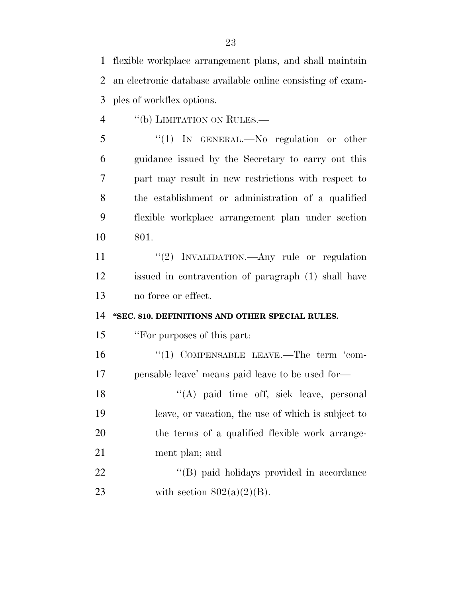flexible workplace arrangement plans, and shall maintain an electronic database available online consisting of exam-ples of workflex options.

4 "(b) LIMITATION ON RULES.—

 ''(1) IN GENERAL.—No regulation or other guidance issued by the Secretary to carry out this part may result in new restrictions with respect to the establishment or administration of a qualified flexible workplace arrangement plan under section 801.

11 ''(2) INVALIDATION.—Any rule or regulation issued in contravention of paragraph (1) shall have no force or effect.

### **''SEC. 810. DEFINITIONS AND OTHER SPECIAL RULES.**

''For purposes of this part:

16  $(1)$  COMPENSABLE LEAVE.—The term 'com-pensable leave' means paid leave to be used for—

18 ''(A) paid time off, sick leave, personal leave, or vacation, the use of which is subject to the terms of a qualified flexible work arrange-ment plan; and

22 ''(B) paid holidays provided in accordance 23 with section  $802(a)(2)(B)$ .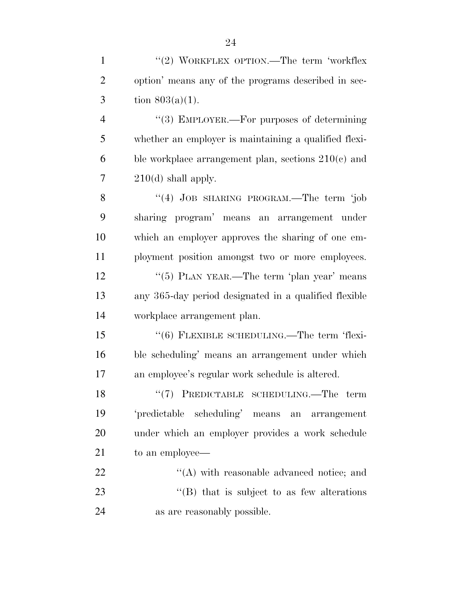| $\mathbf{1}$   | "(2) WORKFLEX OPTION.—The term 'workflex              |
|----------------|-------------------------------------------------------|
| $\overline{2}$ | option' means any of the programs described in sec-   |
| 3              | tion $803(a)(1)$ .                                    |
| $\overline{4}$ | "(3) EMPLOYER.—For purposes of determining            |
| 5              | whether an employer is maintaining a qualified flexi- |
| 6              | ble workplace arrangement plan, sections $210(c)$ and |
| 7              | $210(d)$ shall apply.                                 |
| 8              | "(4) JOB SHARING PROGRAM.—The term 'job               |
| 9              | sharing program' means an arrangement under           |
| 10             | which an employer approves the sharing of one em-     |

12 ''(5) PLAN YEAR.—The term 'plan year' means any 365-day period designated in a qualified flexible workplace arrangement plan.

ployment position amongst two or more employees.

 ''(6) FLEXIBLE SCHEDULING.—The term 'flexi- ble scheduling' means an arrangement under which an employee's regular work schedule is altered.

18 "(7) PREDICTABLE SCHEDULING.—The term 'predictable scheduling' means an arrangement under which an employer provides a work schedule to an employee—

22  $\langle (A) \right)$  with reasonable advanced notice; and 23 "'(B) that is subject to as few alterations as are reasonably possible.